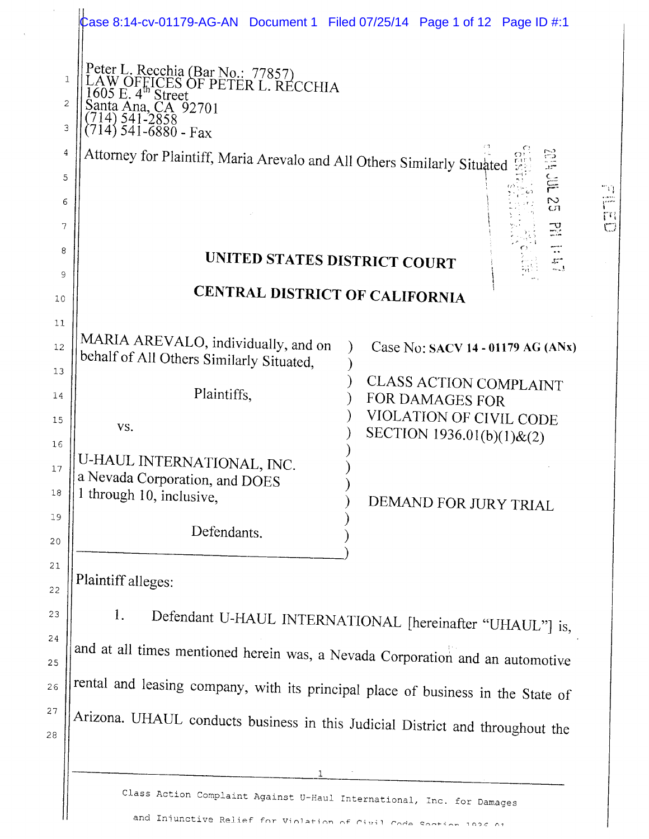|             | Case 8:14-cv-01179-AG-AN Document 1 Filed 07/25/14 Page 1 of 12 Page ID #:1                                                                                                          |                                                  |
|-------------|--------------------------------------------------------------------------------------------------------------------------------------------------------------------------------------|--------------------------------------------------|
| 1<br>2<br>3 | Peter L. Recchia (Bar No.: 77857)<br>LAW OFFICES OF PETER L. RECCHIA<br>$605$ E. $4^{\text{th}}$ Street<br>Santa Ana, CA 92701<br>14) 541-2858<br>714) $54\overline{1} - 6880 - Fax$ |                                                  |
| 4           | Attorney for Plaintiff, Maria Arevalo and All Others Similarly Situated                                                                                                              | e<br>S                                           |
| 5           |                                                                                                                                                                                      | E<br>71                                          |
| 6           |                                                                                                                                                                                      | rani<br>P<br>S<br>cη<br>$\mathfrak{m}$           |
| 7           |                                                                                                                                                                                      | $\mathbb{R}$<br>$\bigcirc$                       |
| 8           |                                                                                                                                                                                      | UNITED STATES DISTRICT COURT<br>$\frac{1}{2}$    |
| 9           |                                                                                                                                                                                      |                                                  |
| 10          |                                                                                                                                                                                      | CENTRAL DISTRICT OF CALIFORNIA                   |
| 11          |                                                                                                                                                                                      |                                                  |
| 12          | MARIA AREVALO, individually, and on<br>behalf of All Others Similarly Situated,                                                                                                      | Case No: SACV 14 - 01179 AG (ANx)                |
| 13<br>14    | Plaintiffs,                                                                                                                                                                          | <b>CLASS ACTION COMPLAINT</b><br>FOR DAMAGES FOR |
| 15          |                                                                                                                                                                                      | VIOLATION OF CIVIL CODE                          |
| 16          | VS.                                                                                                                                                                                  | SECTION 1936.01(b)(1)&(2)                        |
| 17          | U-HAUL INTERNATIONAL, INC.<br>a Nevada Corporation, and DOES                                                                                                                         |                                                  |
| $18\,$      | 1 through 10, inclusive,                                                                                                                                                             | DEMAND FOR JURY TRIAL                            |
| 19          |                                                                                                                                                                                      |                                                  |
| 20          | Defendants.                                                                                                                                                                          |                                                  |
| 21          |                                                                                                                                                                                      |                                                  |
| 22          | Plaintiff alleges:                                                                                                                                                                   |                                                  |

 $1.$ Defendant U-HAUL INTERNATIONAL [hereinafter "UHAUL"] is, and at all times mentioned herein was, a Nevada Corporation and an automotive rental and leasing company, with its principal place of business in the State of Arizona. UHAUL conducts business in this Judicial District and throughout the

23

24

25

 $26$ 

27

 $28$ 

Class Action Complaint Against U-Haul International, Inc. for Damages and Injunctive Relief for Violation of Civil Code Section 1926 At

 $\overline{1}$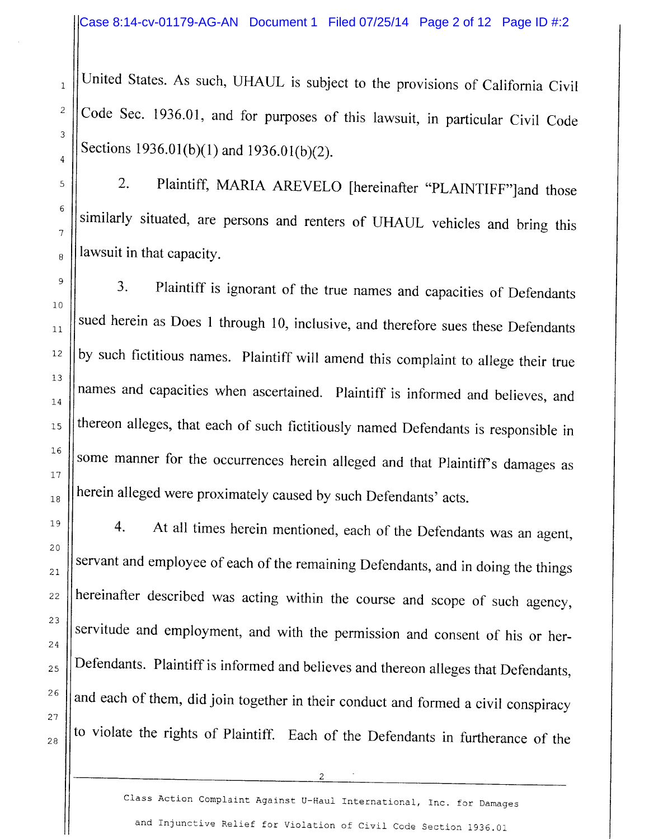United States. As such, UHAUL is subject to the provisions of California Civil Code Sec. 1936.01, and for purposes of this lawsuit, in particular Civil Code Sections 1936.01(b)(1) and 1936.01(b)(2).

1

2

3

4

5

6

1

B

9

10

11

I2

13

I4

15

16

L1

1B

19

20

2T

22

23

24

25

26

2't

2B

2. Plaintiff, MARIA AREVELO [hereinafter "PLAINTIFF"]and those similarly situated, are persons and renters of UHAUL vehicles and bring this lawsuit in that capacity.

3. Plaintiff is ignorant of the true names and capacities of Defendants sued herein as Does 1 through 10, inclusive, and therefore sues these Defendants by such fictitious names. Plaintiff will amend this complaint to allege their true names and capacities when ascertained. Plaintiff is informed and believes, and thereon alleges, that each of such fictitiously named Defendants is responsible in some manner for the occurrences herein alleged and that Plaintiff's damages as herein alleged were proximately caused by such Defendants' acts.

4. At all times herein mentioned, each of the Defendants was an agent, servant and employee of each of the remaining Defendants, and in doing the things hereinafter described was acting within the course and scope of such agency, servitude and employment, and with the permission and consent of his or her-Defendants. Plaintiff is informed and believes and thereon alleges that Defendants, and each of them, did join together in their conduct and formed a civil conspiracy to violate the rights of Plaintiff. Each of the Defendants in furtherance of the

Class Action Complaint Against U-Haul International, Inc. for Damages and Injunctive Relief for Violation of Civil Code Section 1936.01

 $\overline{2}$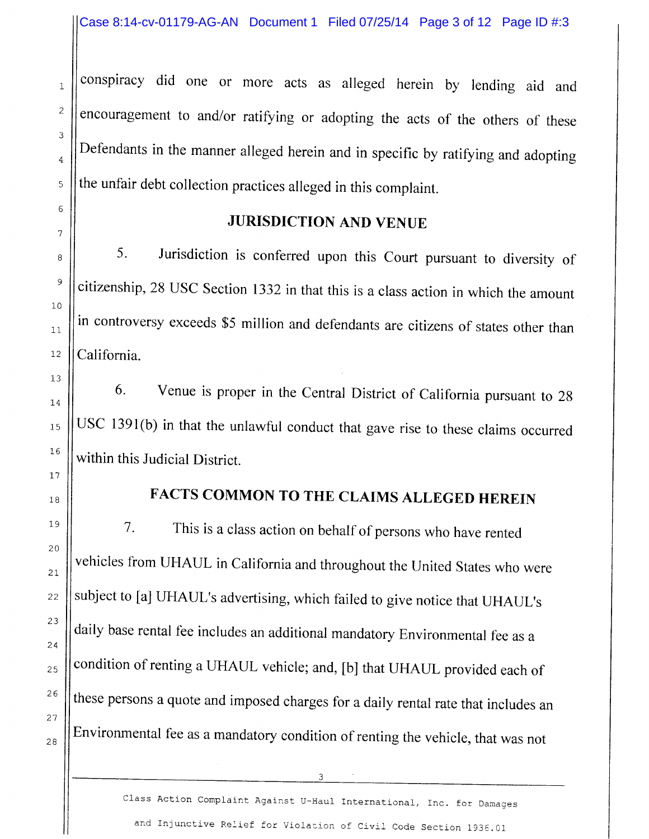conspiracy did one or more acts as alleged herein by lending aid and encouragement to and/or ratifying or adopting the acts of the others of these Defendants in the manner alleged herein and in specific by ratifying and adopting the unfair debt collection practices alleged in this complaint.

### JURISDICTION AND VENUE

5. Jurisdiction is conferred upon this Court pursuant to diversity of citizenship,2S USC Section 1332 in that this is a class action in which the amount in controversy exceeds \$5 million and defendants are citizens of states other than California.

6. Venue is proper in the Central District of Califomia pursuant to 2g USC 1391(b) in that the unlawful conduct that gave rise to these claims occurred within this Judicial District.

## FACTS COMMON TO THE CLAIMS ALLEGED HEREIN

7. This is a class action on behalf of persons who have rented vehicles from UHAUL in California and throughout the United States who were subject to [a] UHAUL's advertising, which failed to give notice that UHAUL's daily base rental fee includes an additional mandatory Environmental fee as a condition of renting a UHAUL vehicle; and, [b] that UHAUL provided each of these persons a quote and imposed charges for a daily rental rate that includes an Environmental fee as a mandatory condition of renting the vehicle, that was not

3

1

2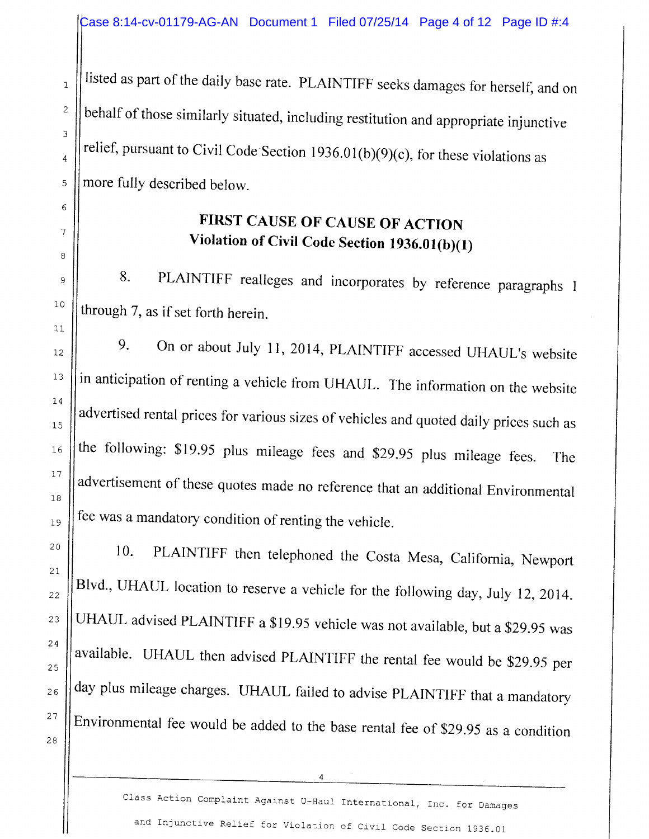listed as part of the daily base rate. PLAINTIFF seeks damages for herself, and on behalf of those similarly situated, including restitution and appropriate injunctive relief, pursuant to Civil Code Section 1936.01(b)(9)(c), for these violations as more fully described below.

I

2

3

4

5

6

1

B

9

10

11

I2

l3

74

15

16

L1

1B

19

20

2L

22

23

24

25

26

21

2B

## FIRST CAUSE OF CAUSE OF ACTION Violation of Civil Code Section  $1936.01(b)(1)$

8. PLAINTIFF realleges and incorporates by reference paragraphs <sup>I</sup> through 7, as if set forth herein.

9. On or about July 11, 2014, PLAINTIFF accessed UHAUL's website in anticipation of renting a vehicle from UHAUL. The information on the website advertised rental prices for various sizes of vehicles and quoted daily prices such as the following: \$19.95 plus mileage fees and \$29.95 plus mileage fees. The advertisement of these quotes made no reference that an additional Environmental fee was a mandatory condition of renting the vehicle.

10. PLAINTIFF then telephoned the Costa Mesa, California, Newport Blvd., UHAUL location to reserve a vehicle for the following day, July 12, 2014. UFIAUL advised PLAINTIFF a \$19.95 vehicle was not available, but a \$29.95 was available. UHAUL then advised PLAINTIFF the rental fee would be \$29.95 per day plus mileage charges. UHAUL failed to advise PLAINTIFF that a mandatory Environmental fee would be added to the base rental fee of \$2g.g5 as a condition

 $\boldsymbol{4}$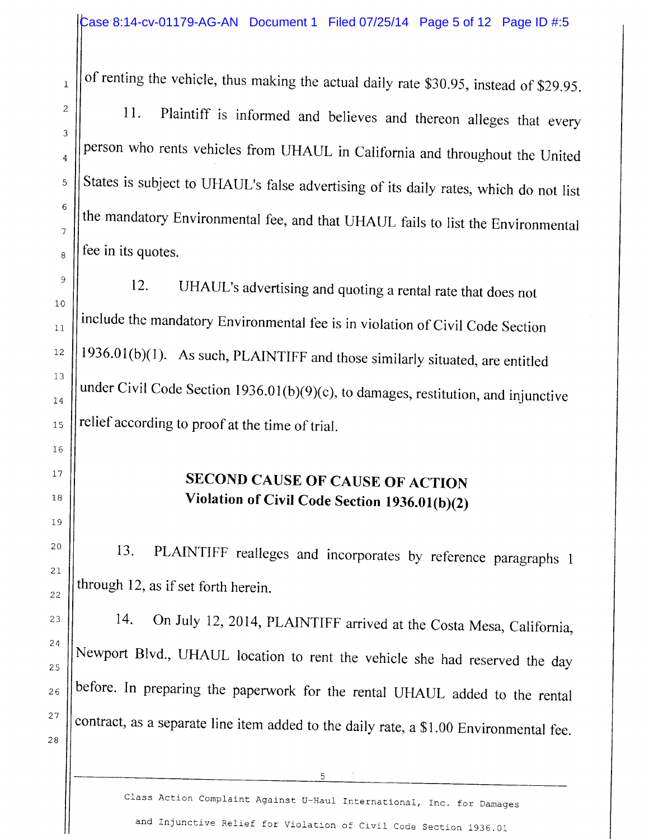of renting the vehicle, thus making the actual daily rate \$30.95, instead of \$29.95.

11. Plaintiff is informed and believes and thereon alleges that every person who rents vehicles from UHAUL in California and throughout the United States is subject to UHAUL's false advertising of its daily rates, which do not list the mandatory Environmental fee, and that UHAUL fails to list the Environmental fee in its quotes.

12. UHAUL's advertising and quoting a rental rate that does not include the mandatory Environmental fee is in violation of Civil Code Section  $1936.01(b)(1)$ . As such, PLAINTIFF and those similarly situated, are entitled under Civil Code Section  $1936.01(b)(9)(c)$ , to damages, restitution, and injunctive relief according to proof at the time of trial.

# SECOND CAUSE OF CAUSE OF ACTION Violation of Civil Code Section  $1936.01(b)(2)$

13. PLAINTIFF realleges and incorporates by reference paragraphs 1 through 12, as if set forth herein.

14. On July 12, 2014, PLAINTIFF arrived at the Costa Mesa, California, Newport Blvd., UHAUL location to rent the vehicle she had reserved the day before. In preparing the paperwork for the rental UHAUL added to the rental contract, as a separate line item added to the daily rate, a \$1.00 Environmental fee.

1

Class Action Complaint Against U-Haul International, Inc. for Damages and Injunctive Relief for Violation of Civil Code Section 1936.01

5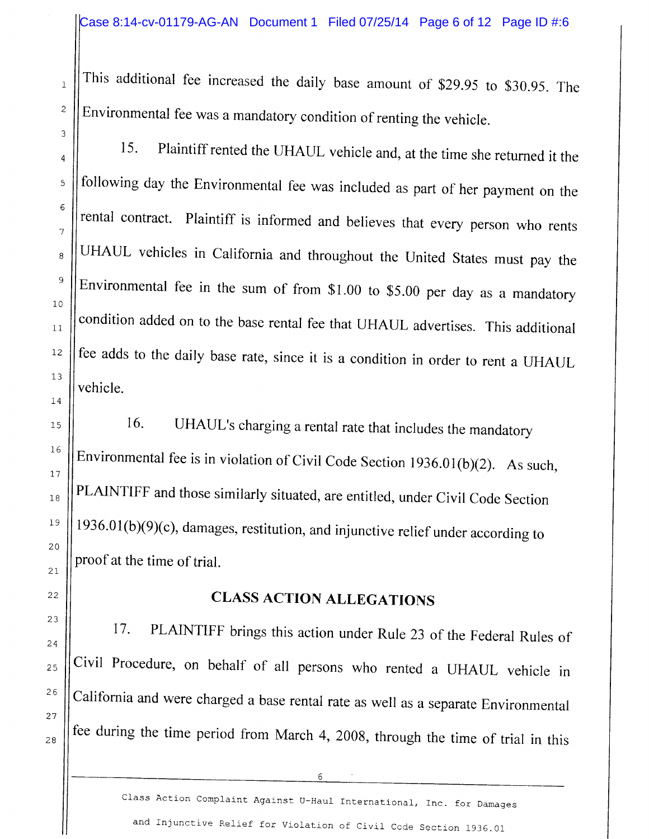This additional fee increased the daily base amount of \$29.95 to \$30.95. The Environmental fee was a mandatory condition of renting the vehicle.

15. Plaintiff rented the UHAUL vehicle and, at the time she returned it the following day the Environmental fee was included as part of her payment on the rental contract. Plaintiff is informed and believes that every person who rents UHAUL vehicles in California and throughout the United States must pay the Environmental fee in the sum of from \$1.00 to \$5.00 per day as a mandatory condition added on to the base rental fee that UHAIJL advertises. This additional fee adds to the daily base rate, since it is a condition in order to rent a UHAUL vehicle.

16. UHAUL's charging a rental rate that includes the mandatory Environmental fee is in violation of Civil Code Section  $1936.01(b)(2)$ . As such, PLAINTIFF and those similarly situated, are entitled, under Civil Code Section  $1936.01(b)(9)(c)$ , damages, restitution, and injunctive relief under according to proof at the time of trial.

## CLASS ACTION ALLEGATIONS

17. PLAINTIFF brings this action under Rule 23 of the Federal Rules of Civil Procedure, on behalf of all persons who rented a UHAUL vehicle in California and were charged a base rental rate as well as a separate Environmental fee during the time period from March 4, 2008, through the time of trial in this

6

Class Action Complaint Against U-Haul International, Inc. for Damages and Injunctive Relief for Violation of Civil Code Section 1936.01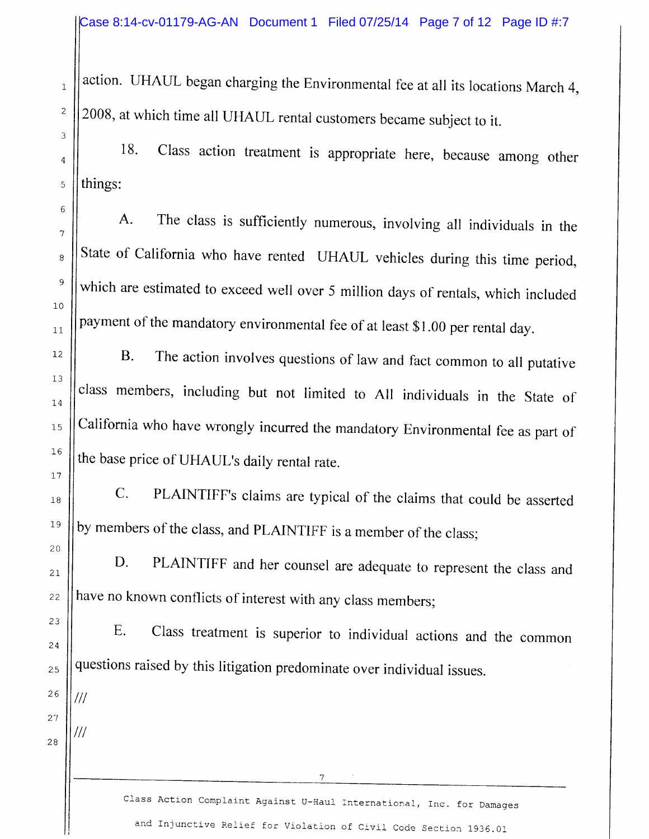action. UHAIJL began charging the Environmental fee at all its locations March 4, 2008, at which time all UFIAUL rental customers became subject to it.

18. Class action treatment is appropriate here, because among other things:

A. The class is sufficiently numerous, involving all individuals in the State of California who have rented UHAUL vehicles during this time period, which are estimated to exceed well over 5 million days of rentals, which included payment of the mandatory environmental fee of at least \$1.00 per rental day.

B. The action involves questions of law and fact common to all putative class members, including but not limited to All individuals in the State of California who have wrongly incurred the mandatory Environmental fee as part of the base price of UHAUL's daily rental rate.

C. PLAINTIFF's claims are typical of the claims that could be asserted by members of the class, and PLAINTIFF is a member of the class;

D. PLAINTIFF and her counsel are adequate to represent the class and have no known conflicts of interest with any class members;

E. Class treatment is superior to individual actions and the common questions raised by this litigation predorninate over individual issues.

26 27

///

///

1

2

3

4

5

 $\epsilon$ 

'1

B

9

10

11

12

13

T4

15

16

I1

1B

19

20

27

22

23

24

25

2B

Class Action Complaint Against U-Haul International, Inc. for Damages and Injunctive Relief for Violation of Civil Code Section 1936.01

 $\overline{7}$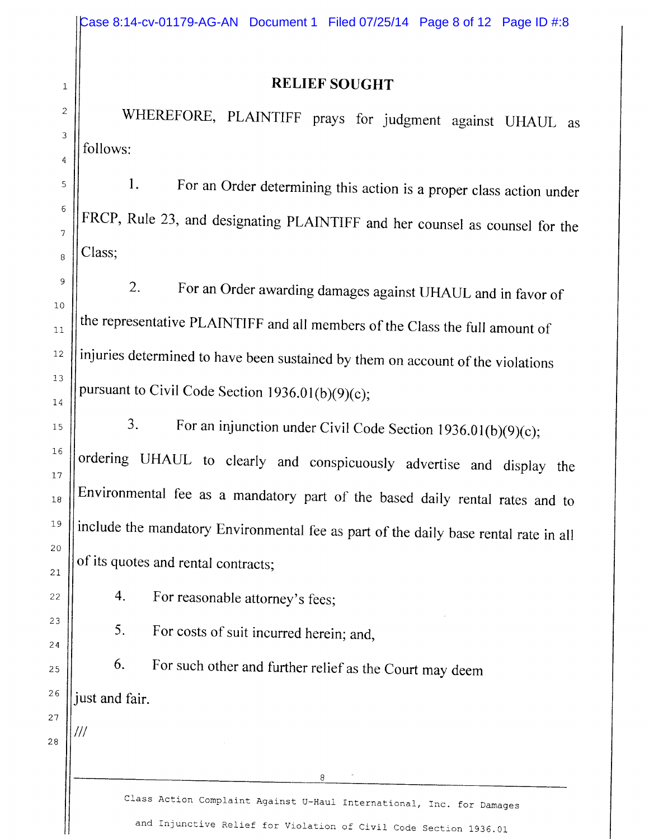///

#### **RELIEF SOUGHT**

WHEREFORE, PLAINTIFF prays for judgment against UHAUL as follows:

1. For an Order determining this action is a proper class action under FRCP, Rule 23, and designating PLAINTIFF and her counsel as counsel for the Class:

2. For an Order awarding damages against UHAUL and in favor of the representative PLAINTIFF and all rnembers of the Class the full amount of injuries determined to have been sustained by them on account of the violations pursuant to Civil Code Section 1936.01(b)(9)(c);

3. For an injunction under Civil Code Section 1936.01(b)(9)(c); ordering UHAUL to clearly and conspicuously advertise and display the Environmental fee as a mandatory part of the based daily rental rates and to include the mandatory Environmental fee as part of the daily base rental rate in all of its quotes and rental contracts:

4. For reasonable attorney's fees;

5. For costs of suit incurred herein; and,

6. For such other and further relief as the Court may deem just and fair.

> Class Action Complaint Against U-Haul International, Inc. for Damages and Injunctive Relief for Violation of Civil Code Section 1936.01

8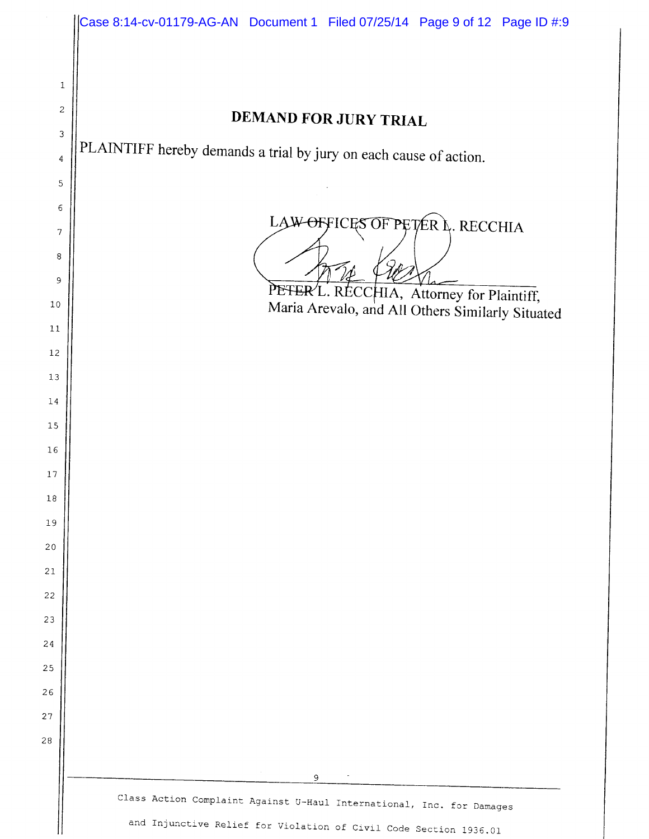|                  | Case 8:14-cv-01179-AG-AN Document 1 Filed 07/25/14 Page 9 of 12 Page ID #:9                                                                |
|------------------|--------------------------------------------------------------------------------------------------------------------------------------------|
|                  |                                                                                                                                            |
| $\mathbf 1$      |                                                                                                                                            |
| $\boldsymbol{2}$ |                                                                                                                                            |
| 3                | <b>DEMAND FOR JURY TRIAL</b>                                                                                                               |
| 4                | PLAINTIFF hereby demands a trial by jury on each cause of action.                                                                          |
| 5                |                                                                                                                                            |
| 6                |                                                                                                                                            |
| 7                | LAW OFFICES OF PETER L. RECCHIA                                                                                                            |
| 8                |                                                                                                                                            |
| 9                | PETER/L. RECCHIA, Attorney for Plaintiff,                                                                                                  |
| 10               | Maria Arevalo, and All Others Similarly Situated                                                                                           |
| 11               |                                                                                                                                            |
| 12               |                                                                                                                                            |
| $13\,$           |                                                                                                                                            |
| 14               |                                                                                                                                            |
| 15               |                                                                                                                                            |
| 16               |                                                                                                                                            |
| 17               |                                                                                                                                            |
| 18               |                                                                                                                                            |
| 19<br>20         |                                                                                                                                            |
| 21               |                                                                                                                                            |
| 22               |                                                                                                                                            |
| 23               |                                                                                                                                            |
| 24               |                                                                                                                                            |
| 25               |                                                                                                                                            |
| 26               |                                                                                                                                            |
| 27               |                                                                                                                                            |
| 28               |                                                                                                                                            |
|                  |                                                                                                                                            |
|                  | 9                                                                                                                                          |
|                  | Class Action Complaint Against U-Haul International, Inc. for Damages<br>and Injunctive Relief for Violation of Civil Code Section 1936.01 |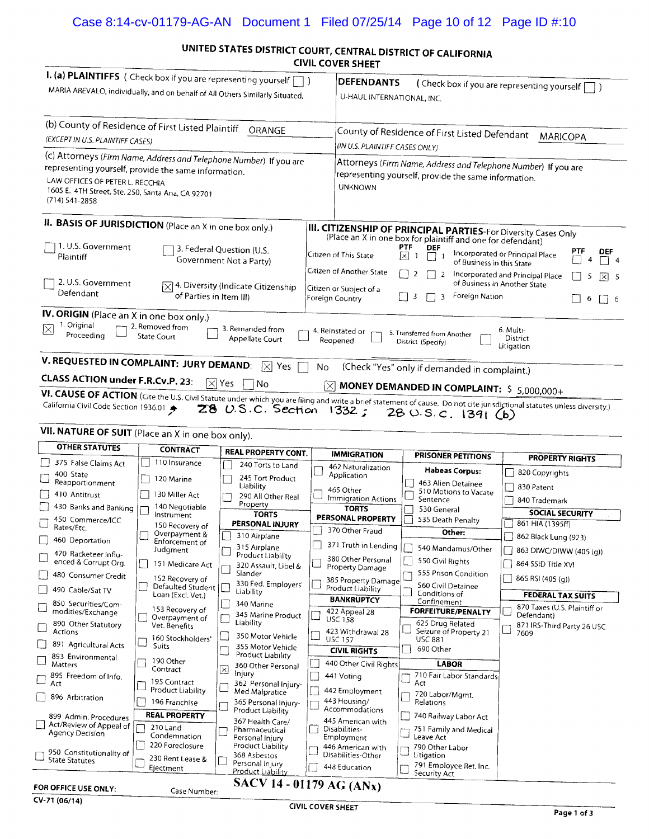#### Case 8:14-cv-01179-AG-AN Document 1 Filed 07/25/14 Page 10 of 12 Page ID #:10

#### UNITED STATES DISTRICT COURT, CENTRAL DISTRICT OF CALIFORNIA co o

|                                                                                                                                                                                                                                          |                                                      |                                                                  | CIVIL COVER SHEET                         |                                                                                                                                                                    |                                                                                                   |                                                   |                                                                       |           |  |  |
|------------------------------------------------------------------------------------------------------------------------------------------------------------------------------------------------------------------------------------------|------------------------------------------------------|------------------------------------------------------------------|-------------------------------------------|--------------------------------------------------------------------------------------------------------------------------------------------------------------------|---------------------------------------------------------------------------------------------------|---------------------------------------------------|-----------------------------------------------------------------------|-----------|--|--|
| I. (a) PLAINTIFFS ( Check box if you are representing yourself<br>MARIA AREVALO, individually, and on behalf of All Others Similarly Situated,                                                                                           |                                                      |                                                                  |                                           | <b>DEFENDANTS</b>                                                                                                                                                  | U-HAUL INTERNATIONAL, INC.                                                                        |                                                   | (Check box if you are representing yourself [                         |           |  |  |
| (b) County of Residence of First Listed Plaintiff<br>(EXCEPT IN U.S. PLAINTIFF CASES)                                                                                                                                                    |                                                      | ORANGE                                                           |                                           |                                                                                                                                                                    | County of Residence of First Listed Defendant<br>(IN U.S. PLAINTIFF CASES ONLY)                   |                                                   | <b>MARICOPA</b>                                                       |           |  |  |
| (c) Attorneys (Firm Name, Address and Telephone Number) If you are<br>representing yourself, provide the same information.<br>LAW OFFICES OF PETER L. RECCHIA<br>1605 E. 4TH Street, Ste. 250, Santa Ana, CA 92701<br>$(714) 541 - 2858$ |                                                      |                                                                  |                                           | <b>UNKNOWN</b>                                                                                                                                                     | representing yourself, provide the same information.                                              |                                                   | Attorneys (Firm Name, Address and Telephone Number) If you are        |           |  |  |
| II. BASIS OF JURISDICTION (Place an X in one box only.)                                                                                                                                                                                  |                                                      |                                                                  |                                           |                                                                                                                                                                    | (Place an X in one box for plaintiff and one for defendant)                                       |                                                   | <b>III. CITIZENSHIP OF PRINCIPAL PARTIES-For Diversity Cases Only</b> |           |  |  |
| 1. U.S. Government<br>Plaintiff                                                                                                                                                                                                          | 3. Federal Question (U.S.<br>Government Not a Party) | Citizen of This State                                            |                                           | PTF<br><b>DEF</b><br>lхI<br>$\overline{1}$                                                                                                                         | Incorporated or Principal Place<br>of Business in this State                                      |                                                   |                                                                       |           |  |  |
| 2. U.S. Government<br>Defendant                                                                                                                                                                                                          | ΙXΙ<br>of Parties in Item III)                       | 4. Diversity (Indicate Citizenship                               |                                           | Citizen of Another State<br>$\overline{2}$<br>- 1<br>$\overline{2}$<br>Incorporated and Principal Place<br>of Business in Another State<br>Citizen or Subject of a |                                                                                                   |                                                   |                                                                       |           |  |  |
| IV. ORIGIN (Place an X in one box only.)                                                                                                                                                                                                 |                                                      |                                                                  | Foreign Country                           |                                                                                                                                                                    | $\mathsf{L}$<br>$\overline{\mathbf{3}}$<br>3                                                      | Foreign Nation                                    |                                                                       | 6<br>II 6 |  |  |
| 1. Original<br>$\overline{\times}$<br>Proceeding<br>V. REQUESTED IN COMPLAINT: JURY DEMAND:                                                                                                                                              | 2. Removed from<br>State Court                       | 3. Remanded from<br>Appellate Court<br>$ \overline{\times} $ Yes | 4. Reinstated or<br>Reopened<br><b>No</b> |                                                                                                                                                                    | 5. Transferred from Another<br>District (Specify)<br>(Check "Yes" only if demanded in complaint.) |                                                   | 6. Multi-<br>District<br>Litigation                                   |           |  |  |
| CLASS ACTION under F.R.Cv.P. 23:<br>VI. CAUSE OF ACTION (Cite the U.S. Civil Statute under which you are filing and write a brief statement of cause. Do not cite jurisdictional statutes unless diversity.)                             |                                                      | $ \times $ Yes<br>No<br>28 U.S.C. Section 1332;                  |                                           |                                                                                                                                                                    | 280.5.c.139(6)                                                                                    |                                                   | MONEY DEMANDED IN COMPLAINT: \$5,000,000+                             |           |  |  |
| VII. NATURE OF SUIT (Place an X in one box only).                                                                                                                                                                                        |                                                      |                                                                  |                                           |                                                                                                                                                                    |                                                                                                   |                                                   |                                                                       |           |  |  |
| <b>OTHER STATUTES</b>                                                                                                                                                                                                                    | <b>CONTRACT</b>                                      | REAL PROPERTY CONT.                                              |                                           | <b>IMMIGRATION</b>                                                                                                                                                 |                                                                                                   | <b>PRISONER PETITIONS</b>                         | <b>PROPERTY RIGHTS</b>                                                |           |  |  |
| 375 False Claims Act<br>400 State                                                                                                                                                                                                        | 110 Insurance                                        | 240 Torts to Land                                                |                                           | 462 Naturalization<br>Application                                                                                                                                  |                                                                                                   | Habeas Corpus:                                    | 820 Copyrights                                                        |           |  |  |
| Reapportionment                                                                                                                                                                                                                          | 120 Marine                                           | 245 Tort Product<br>Liability                                    |                                           | 465 Other                                                                                                                                                          |                                                                                                   | 463 Alien Detainee                                | 830 Patent                                                            |           |  |  |
| 410 Antitrust                                                                                                                                                                                                                            | 130 Miller Act                                       | 290 All Other Real<br>Property                                   |                                           | Immigration Actions                                                                                                                                                | Sentence                                                                                          | 510 Motions to Vacate                             | 840 Trademark                                                         |           |  |  |
| 430 Banks and Banking                                                                                                                                                                                                                    | 140 Negotiable<br>Instrument                         | <b>TORTS</b>                                                     |                                           | <b>TORTS</b><br>PERSONAL PROPERTY                                                                                                                                  | 530 General                                                                                       |                                                   | <b>SOCIAL SECURITY</b>                                                |           |  |  |
| 450 Commerce/ICC<br>Rates/Etc.                                                                                                                                                                                                           | 150 Recovery of                                      | PERSONAL INJURY                                                  |                                           | 370 Other Fraud                                                                                                                                                    |                                                                                                   | 535 Death Penalty<br>Other:                       | 861 HIA (1395ff)                                                      |           |  |  |
| 460 Deportation                                                                                                                                                                                                                          | Overpayment &<br>Enforcement of                      | 310 Airplane                                                     |                                           | 371 Truth in Lending                                                                                                                                               |                                                                                                   |                                                   | 862 Black Lung (923)                                                  |           |  |  |
| 470 Racketeer Influ-<br>enced & Corrupt Org.                                                                                                                                                                                             | Judgment<br>151 Medicare Act                         | 315 Airplane<br><b>Product Liability</b><br>320 Assault, Libel & |                                           | 380 Other Personal<br>Property Damage                                                                                                                              | 550 Civil Rights                                                                                  | 540 Mandamus/Other                                | 863 DIWC/DIWW (405 (g))<br>864 SSID Title XVI                         |           |  |  |
| 480 Consumer Credit                                                                                                                                                                                                                      | 152 Recovery of<br>$D = F \cdot \cdot \cdot F = F$   | Slander<br>330 Fed. Employers' IF                                |                                           | 385 Property Damage                                                                                                                                                |                                                                                                   | 555 Prison Condition<br><b>S60 Civil Dotaines</b> | 865 RSI (405 (q))                                                     |           |  |  |

| FOR OFFICE USE ONLY:                       | Case Number:                             |   | SACV 14 - 01179 AG (ANx)                    |                                         |                                          |      |                                          |
|--------------------------------------------|------------------------------------------|---|---------------------------------------------|-----------------------------------------|------------------------------------------|------|------------------------------------------|
| <b>State Statutes</b>                      | Ejectment                                |   | Personal Injury<br><b>Product Liability</b> | 448 Education                           | 791 Employee Ret. Inc.<br>Security Act   |      |                                          |
| 950 Constitutionality of                   | 220 Foreclosure<br>230 Rent Lease &      |   | Product Liability<br>368 Asbestos           | 446 American with<br>Disabilities-Other | 790 Other Labor<br>Litigation            |      |                                          |
| Act/Review of Appeal of<br>Agency Decision | 210 Land<br>Condemnation                 |   | Pharmaceutical<br>Personal Injury           | Disabilities-<br>Employment             | 751 Family and Medical<br>Leave Act      |      |                                          |
| 899 Admin. Procedures                      | <b>REAL PROPERTY</b>                     |   | Product Liability<br>367 Health Care/       | 445 American with                       | 740 Railway Labor Act                    |      |                                          |
| 896 Arbitration                            | 196 Franchise                            |   | 365 Personal Injury-                        | 443 Housing/<br>Accommodations          | Relations                                |      |                                          |
| Act                                        | Product Liability                        |   | 362 Personal Injury-<br>Med Malpratice      | 442 Employment                          | Act<br>720 Labor/Mqmt.                   |      |                                          |
| 895 Freedom of Info.                       | Contract<br>195 Contract                 | ⊠ | Injury                                      | 441 Voting                              | 710 Fair Labor Standards                 |      |                                          |
| 893 Environmental<br><b>Matters</b>        | 190 Other                                |   | 360 Other Personal                          | 440 Other Civil Rights                  | <b>LABOR</b>                             |      |                                          |
| 891<br>Agricultural Acts                   | Suits                                    |   | 355 Motor Vehicle<br>Product Liability      | <b>CIVIL RIGHTS</b>                     | 690 Other                                |      |                                          |
| Actions                                    | 160 Stockholders'                        |   | 350 Motor Vehicle                           | 423 Withdrawal 28<br><b>USC 157</b>     | Seizure of Property 21<br><b>USC 881</b> | نــا | 7609                                     |
| 890 Other Statutory                        | Overpayment of<br>Vet. Benefits          |   | 345 Marine Product<br>Liability             | <b>USC 158</b>                          | 625 Drug Related                         |      | Defendant)<br>871 IRS-Third Party 26 USC |
| 850 Securities/Com-<br>modities/Exchange   | 153 Recovery of                          |   | 340 Marine                                  | 422 Appeal 28                           | Confinement<br><b>FORFEITURE/PENALTY</b> |      | 870 Taxes (U.S. Plaintiff or             |
| 490 Cable/Sat TV                           | Defaulted Student  <br>Loan (Excl. Vet.) |   | Liability                                   | Product Liability<br><b>BANKRUPTCY</b>  | 560 Civil Detainee<br>Conditions of      |      | <b>FEDERAL TAX SUITS</b>                 |
| 480 Consumer Credit                        | 152 Recovery of                          |   | Slander<br>330 Fed. Employers'              | 385 Property Damage                     | 555 Prison Condition                     |      | 865 RSI (405 (g))                        |
| enced & Corrupt Org.                       | 151 Medicare Act                         |   | 320 Assault, Libel &                        | 380 Other Personal<br>Property Damage   | 550 Civil Rights                         |      | 864 SSID Title XVI                       |
| 470 Racketeer Influ-                       |                                          |   | Product Liability                           |                                         |                                          |      | $003$ DIMC/DIMM (403 (G))                |

#### $CV-71(06/14)$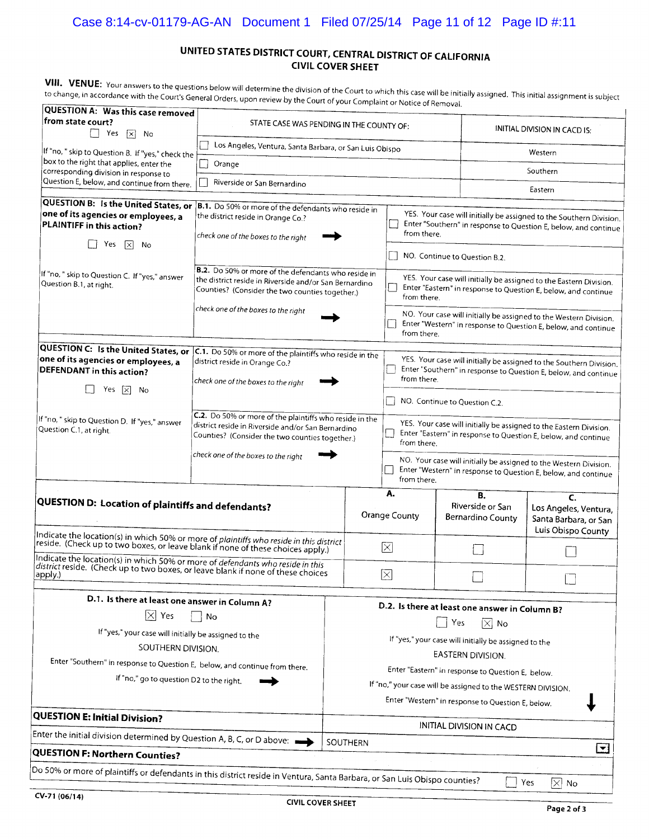### Case 8:14-cv-01179-AG-AN Document 1 Filed 07/25/14 Page 11 of 12 Page ID #:11

#### UNITED STATES DISTRICT COURT, CENTRAL DISTRICT OF CALIFORNIA **CIVIL COVER SHEET**

VIII. VENUE: Your answers to the questions below will determine the division of the Court to which this case will be initially assigned. This initial assignment is subject to change, in accordance with the Court's General Orders, upon review by the Court of your Complaint or Notice of Removal.

| <b>QUESTION A: Was this case removed</b><br>from state court?<br>Yes $\boxed{\times}$ No                                                                                                                                                                                    | STATE CASE WAS PENDING IN THE COUNTY OF:                                                                                                                                                                |                                                                                                                                                                                        |                                                                                                                                                                                                                                                                                            | INITIAL DIVISION IN CACD IS: |                                                                                                                                                                                                                                                                             |                                                                            |  |
|-----------------------------------------------------------------------------------------------------------------------------------------------------------------------------------------------------------------------------------------------------------------------------|---------------------------------------------------------------------------------------------------------------------------------------------------------------------------------------------------------|----------------------------------------------------------------------------------------------------------------------------------------------------------------------------------------|--------------------------------------------------------------------------------------------------------------------------------------------------------------------------------------------------------------------------------------------------------------------------------------------|------------------------------|-----------------------------------------------------------------------------------------------------------------------------------------------------------------------------------------------------------------------------------------------------------------------------|----------------------------------------------------------------------------|--|
| If "no, " skip to Question B. If "yes," check the                                                                                                                                                                                                                           | Los Angeles, Ventura, Santa Barbara, or San Luis Obispo                                                                                                                                                 |                                                                                                                                                                                        |                                                                                                                                                                                                                                                                                            |                              | Western                                                                                                                                                                                                                                                                     |                                                                            |  |
| box to the right that applies, enter the<br>corresponding division in response to                                                                                                                                                                                           | Orange                                                                                                                                                                                                  |                                                                                                                                                                                        |                                                                                                                                                                                                                                                                                            |                              |                                                                                                                                                                                                                                                                             | Southern                                                                   |  |
| Question E, below, and continue from there.                                                                                                                                                                                                                                 | Riverside or San Bernardino                                                                                                                                                                             |                                                                                                                                                                                        |                                                                                                                                                                                                                                                                                            |                              |                                                                                                                                                                                                                                                                             | Eastern                                                                    |  |
| QUESTION B: Is the United States, or<br>one of its agencies or employees, a<br>PLAINTIFF in this action?<br>Yes<br>$\vert \times \vert$<br>- No                                                                                                                             | B.1. Do 50% or more of the defendants who reside in<br>the district reside in Orange Co.?<br>check one of the boxes to the right                                                                        |                                                                                                                                                                                        | YES. Your case will initially be assigned to the Southern Division.<br>Enter "Southern" in response to Question E, below, and continue<br>from there.<br>NO. Continue to Question B.2.                                                                                                     |                              |                                                                                                                                                                                                                                                                             |                                                                            |  |
| If "no, " skip to Question C. If "yes," answer<br>Question B.1, at right.                                                                                                                                                                                                   | B.2. Do 50% or more of the defendants who reside in<br>the district reside in Riverside and/or San Bernardino<br>Counties? (Consider the two counties together.)<br>check one of the boxes to the right | from there.<br>from there.                                                                                                                                                             |                                                                                                                                                                                                                                                                                            |                              | YES. Your case will initially be assigned to the Eastern Division.<br>Enter "Eastern" in response to Question E, below, and continue<br>NO. Your case will initially be assigned to the Western Division.<br>Enter "Western" in response to Question E, below, and continue |                                                                            |  |
| QUESTION C: Is the United States, or<br>one of its agencies or employees, a<br>DEFENDANT in this action?<br>Yes $ x $<br>No                                                                                                                                                 | C.1. Do 50% or more of the plaintiffs who reside in the<br>district reside in Orange Co.?<br>check one of the boxes to the right                                                                        | YES. Your case will initially be assigned to the Southern Division.<br>Enter "Southern" in response to Question E, below, and continue<br>from there.<br>NO. Continue to Question C.2. |                                                                                                                                                                                                                                                                                            |                              |                                                                                                                                                                                                                                                                             |                                                                            |  |
| If "no, " skip to Question D. If "yes," answer<br>Question C.1, at right.                                                                                                                                                                                                   | C.2. Do 50% or more of the plaintiffs who reside in the<br>district reside in Riverside and/or San Bernardino<br>Counties? (Consider the two counties together.)<br>check one of the boxes to the right |                                                                                                                                                                                        | YES. Your case will initially be assigned to the Eastern Division.<br>Enter "Eastern" in response to Question E, below, and continue<br>from there.<br>NO. Your case will initially be assigned to the Western Division.<br>Enter "Western" in response to Question E, below, and continue |                              |                                                                                                                                                                                                                                                                             |                                                                            |  |
| QUESTION D: Location of plaintiffs and defendants?                                                                                                                                                                                                                          |                                                                                                                                                                                                         |                                                                                                                                                                                        | from there.<br>A.<br>Orange County                                                                                                                                                                                                                                                         |                              | В.<br>Riverside or San<br>Bernardino County                                                                                                                                                                                                                                 | C.<br>Los Angeles, Ventura,<br>Santa Barbara, or San<br>Luis Obispo County |  |
| Indicate the location(s) in which 50% or more of plaintiffs who reside in this district<br>reside. (Check up to two boxes, or leave blank if none of these choices apply.)                                                                                                  |                                                                                                                                                                                                         |                                                                                                                                                                                        | ×                                                                                                                                                                                                                                                                                          |                              |                                                                                                                                                                                                                                                                             |                                                                            |  |
| Indicate the location(s) in which 50% or more of defendants who reside in this<br>district reside. (Check up to two boxes, or leave blank if none of these choices<br>apply.)                                                                                               |                                                                                                                                                                                                         |                                                                                                                                                                                        | ⊠                                                                                                                                                                                                                                                                                          |                              |                                                                                                                                                                                                                                                                             |                                                                            |  |
| D.1. Is there at least one answer in Column A?<br>$\boxtimes$ Yes<br>If "yes," your case will initially be assigned to the<br>SOUTHERN DIVISION.<br>Enter "Southern" in response to Question E, below, and continue from there.<br>If "no," go to question D2 to the right. | No                                                                                                                                                                                                      |                                                                                                                                                                                        | D.2. Is there at least one answer in Column B?<br>Yes<br>$\times$<br>No<br>If "yes," your case will initially be assigned to the<br>EASTERN DIVISION.<br>Enter "Eastern" in response to Question E, below.<br>If "no," your case will be assigned to the WESTERN DIVISION.                 |                              |                                                                                                                                                                                                                                                                             |                                                                            |  |
| <b>QUESTION E: Initial Division?</b>                                                                                                                                                                                                                                        |                                                                                                                                                                                                         |                                                                                                                                                                                        |                                                                                                                                                                                                                                                                                            |                              | Enter "Western" in response to Question E, below.                                                                                                                                                                                                                           |                                                                            |  |
| Enter the initial division determined by Question A, B, C, or D above:                                                                                                                                                                                                      |                                                                                                                                                                                                         | INITIAL DIVISION IN CACD                                                                                                                                                               |                                                                                                                                                                                                                                                                                            |                              |                                                                                                                                                                                                                                                                             |                                                                            |  |
| QUESTION F: Northern Counties?                                                                                                                                                                                                                                              |                                                                                                                                                                                                         | SOUTHERN                                                                                                                                                                               |                                                                                                                                                                                                                                                                                            |                              |                                                                                                                                                                                                                                                                             | $ \blacktriangledown$                                                      |  |
| $\vert$ Do 50% or more of plaintiffs or defendants in this district reside in Ventura, Santa Barbara, or San Luis Obispo counties?                                                                                                                                          |                                                                                                                                                                                                         |                                                                                                                                                                                        |                                                                                                                                                                                                                                                                                            |                              |                                                                                                                                                                                                                                                                             |                                                                            |  |